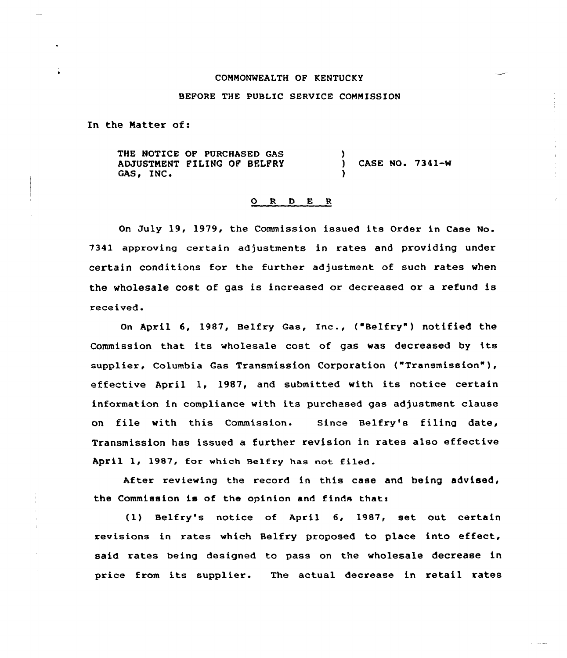#### COMMONWEALTH OF KENTUCKY

## BEFORE THE PUBLIC SERVICE COMMISSION

In the Matter of:

THE NOTICE OP PURCHASED GAS ADJUSTMENT FILING OF BELFRY GAS, IN' ) CASE NO <sup>~</sup> 7341-W )

# 0 <sup>R</sup> <sup>D</sup> E <sup>R</sup>

On July 19, 1979, the Commission issued its Order in Case No. 7341 approving certain adjustments in rates and providing under certain conditions for the further adjustment of such rates when the wholesale cost of gas is increased or decreased or a refund is received.

On April 6, 1987, Belfry Gas, Inc., ("Belfry" ) notified the Commission that its wholesale cost of gas was decreased by its supplier, Columbia Gas Transmission Corporation ("Transmission" ), effective April 1, 1987, and submitted with its notice certain information in compliance with its purchased gas adjustment clause on file with this Commission. Since Belfry's filing date, Transmission has issued a further revision in rates also effective April 1, 1987, for which Belfry has not filed.

After reviewing the record in this case and being advised, the Commission is of the opinion and finds thats

(1) Belfry's notice of April 6, 1987, set out certain revisions in rates which Belfry proposed to place into effect, said rates being designed to pass on the wholesale decrease in price from its supplier. The actual decrease in retail rates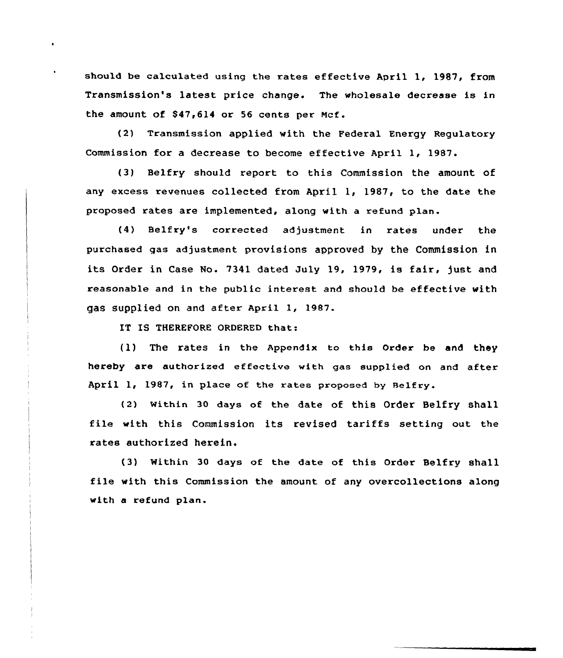should be calculated using the rates effective April 1, 1987, from Transmission's latest price change. The wholesale decrease is in the amount of \$47,614 or 56 cents per Mcf.

(2) Transmission applied with the Federal Energy Regulatory Commission for a decrease to become effective April 1, 1987.

(3) Belfry should report to this Commission the amount of any excess revenues collected from April 1, 1987, to the date the proposed rates are implemented, along with a refund plan.

(4) Belfry's corrected adjustment in rates under the purchased gas adjustment provisions approved by the Commission in its Order in Case No. 7341 dated July 19, 1979, is fair, just and xeasonable and in the public intexest and should be effective with gas supplied on and after April 1, 1987.

IT IS THEREFORE ORDERED that:

(1) The rates in the Appendix to this Oxdex be and they hereby are authorized effective with gas supplied on and after April 1, 1987, in place of the rates proposed by Belfry.

(2) within 30 days of the date of this Order Belfry shall file with this Commission its revised tariffs setting out the rates authorized herein.

(3) Within 30 days of the date of this Order Belfry shall file with this Commission the amount of any overcollections along with a refund plan.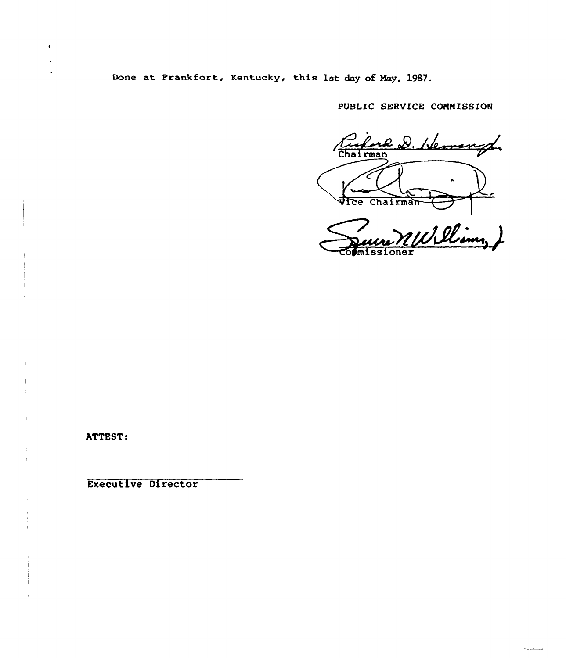Done at Frankfort, Kentucky, this 1st day of Nay, 1987.

PUBLIC SERVICE COMMISSION

luce D. Hemangt Chairman Vice Chairman

Williams)

and a community

ATTEST:

Executive Director